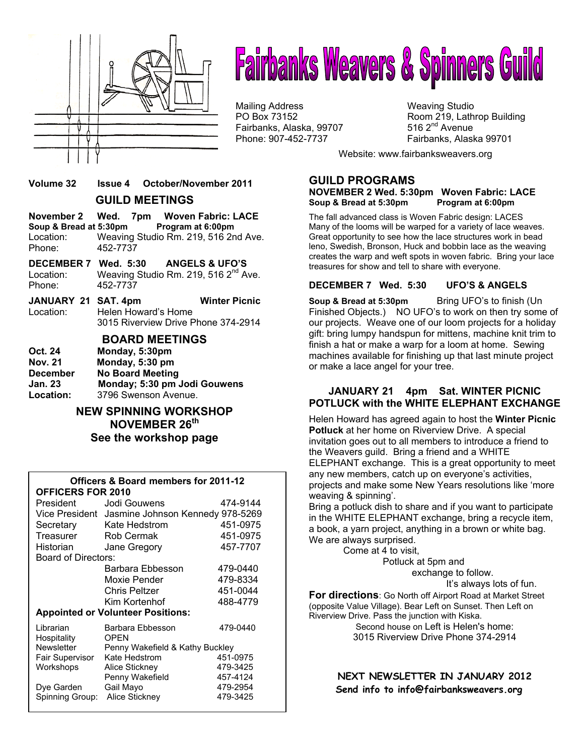

# **Fairbanks Weavers & Spinners Guild**

Mailing Address Mail in the Weaving Studio<br>
Mailing Address Manus (Weaving Studio PO Box 73152 Fairbanks, Alaska, 99707 Phone: 907-452-7737 Fairbanks, Alaska 99701

Room 219, Lathrop Building 516  $2<sup>nd</sup>$  Avenue

Website: www.fairbanksweavers.org

## **Volume 32 Issue 4 October/November 2011 GUILD MEETINGS**

**November 2 Wed. 7pm Woven Fabric: LACE Soup & Bread at 5:30pm Program at 6:00pm**  Location: Weaving Studio Rm. 219, 516 2nd Ave.<br>Phone: 452-7737 Phone: 452-7737

- **DECEMBER 7 Wed. 5:30 ANGELS & UFO'S**  Location: Weaving Studio Rm. 219, 516 2<sup>nd</sup> Ave. Phone: 452-7737
- **JANUARY 21 SAT. 4pm Winter Picnic**  Location: Helen Howard's Home 3015 Riverview Drive Phone 374-2914

#### **BOARD MEETINGS**

| Oct. 24         | Monday, 5:30pm               |
|-----------------|------------------------------|
| <b>Nov. 21</b>  | Monday, 5:30 pm              |
| <b>December</b> | <b>No Board Meeting</b>      |
| Jan. 23         | Monday; 5:30 pm Jodi Gouwens |
| Location:       | 3796 Swenson Avenue.         |

**NEW SPINNING WORKSHOP NOVEMBER 26th See the workshop page** 

#### **Officers & Board members for 2011-12 OFFICERS FOR 2010**

| President                                            | Jodi Gouwens                     | 474-9144 |  |  |
|------------------------------------------------------|----------------------------------|----------|--|--|
| Vice President                                       | Jasmine Johnson Kennedy 978-5269 |          |  |  |
| Secretary                                            | Kate Hedstrom                    | 451-0975 |  |  |
| Treasurer                                            | Rob Cermak                       | 451-0975 |  |  |
| Historian                                            | Jane Gregory                     | 457-7707 |  |  |
| Board of Directors:                                  |                                  |          |  |  |
|                                                      | Barbara Ebbesson                 | 479-0440 |  |  |
|                                                      | Moxie Pender                     | 479-8334 |  |  |
|                                                      | Chris Peltzer                    | 451-0044 |  |  |
|                                                      | Kim Kortenhof                    | 488-4779 |  |  |
| <b>Appointed or Volunteer Positions:</b>             |                                  |          |  |  |
| Librarian<br>Hospitality                             | Barbara Ebbesson<br><b>OPEN</b>  | 479-0440 |  |  |
| <b>Newsletter</b><br>Penny Wakefield & Kathy Buckley |                                  |          |  |  |
| Fair Supervisor                                      | Kate Hedstrom                    | 451-0975 |  |  |
| Workshops                                            | Alice Stickney                   | 479-3425 |  |  |
|                                                      | Penny Wakefield                  | 457-4124 |  |  |
| Dye Garden                                           | Gail Mayo                        | 479-2954 |  |  |
| Spinning Group:                                      | Alice Stickney                   | 479-3425 |  |  |

# **GUILD PROGRAMS**

#### **NOVEMBER 2 Wed. 5:30pm Woven Fabric: LACE**  Soup & Bread at 5:30pm Program at 6:00pm

The fall advanced class is Woven Fabric design: LACES Many of the looms will be warped for a variety of lace weaves. Great opportunity to see how the lace structures work in bead leno, Swedish, Bronson, Huck and bobbin lace as the weaving creates the warp and weft spots in woven fabric. Bring your lace treasures for show and tell to share with everyone.

#### **DECEMBER 7 Wed. 5:30 UFO'S & ANGELS**

**Soup & Bread at 5:30pm** Bring UFO's to finish (Un Finished Objects.) NO UFO's to work on then try some of our projects. Weave one of our loom projects for a holiday gift: bring lumpy handspun for mittens, machine knit trim to finish a hat or make a warp for a loom at home. Sewing machines available for finishing up that last minute project or make a lace angel for your tree.

#### **JANUARY 21 4pm Sat. WINTER PICNIC POTLUCK with the WHITE ELEPHANT EXCHANGE**

Helen Howard has agreed again to host the **Winter Picnic Potluck** at her home on Riverview Drive. A special invitation goes out to all members to introduce a friend to the Weavers guild. Bring a friend and a WHITE ELEPHANT exchange. This is a great opportunity to meet any new members, catch up on everyone's activities, projects and make some New Years resolutions like 'more weaving & spinning'.

Bring a potluck dish to share and if you want to participate in the WHITE ELEPHANT exchange, bring a recycle item, a book, a yarn project, anything in a brown or white bag. We are always surprised.

Come at 4 to visit,

Potluck at 5pm and

exchange to follow.

It's always lots of fun.

**For directions**: Go North off Airport Road at Market Street (opposite Value Village). Bear Left on Sunset. Then Left on Riverview Drive. Pass the junction with Kiska.

> Second house on Left is Helen's home: 3015 Riverview Drive Phone 374-2914

**NEXT NEWSLETTER IN JANUARY 2012 Send info to info@fairbanksweavers.org**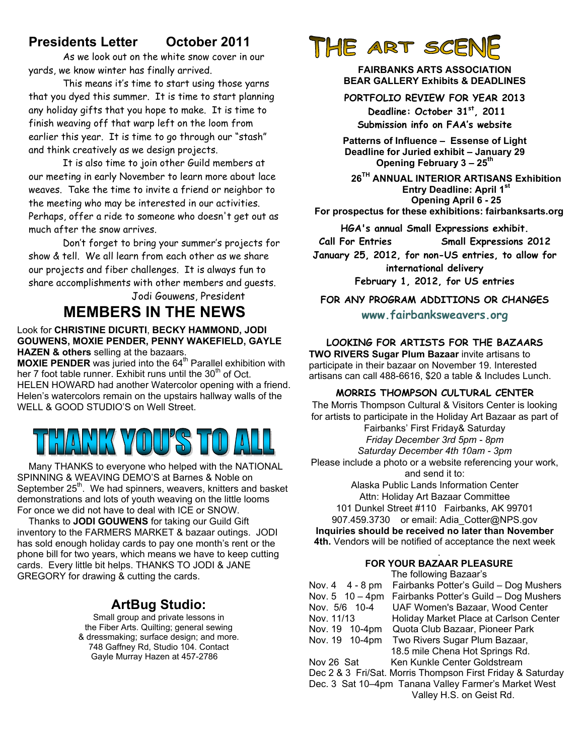# **Presidents Letter October 2011**

 As we look out on the white snow cover in our yards, we know winter has finally arrived.

 This means it's time to start using those yarns that you dyed this summer. It is time to start planning any holiday gifts that you hope to make. It is time to finish weaving off that warp left on the loom from earlier this year. It is time to go through our "stash" and think creatively as we design projects.

 It is also time to join other Guild members at our meeting in early November to learn more about lace weaves. Take the time to invite a friend or neighbor to the meeting who may be interested in our activities. Perhaps, offer a ride to someone who doesn't get out as much after the snow arrives.

 Don't forget to bring your summer's projects for show & tell. We all learn from each other as we share our projects and fiber challenges. It is always fun to share accomplishments with other members and guests.

# Jodi Gouwens, President **MEMBERS IN THE NEWS**

#### Look for **CHRISTINE DICURTI**, **BECKY HAMMOND, JODI GOUWENS, MOXIE PENDER, PENNY WAKEFIELD, GAYLE HAZEN & others** selling at the bazaars.

**MOXIE PENDER** was juried into the 64<sup>th</sup> Parallel exhibition with her 7 foot table runner. Exhibit runs until the  $30<sup>th</sup>$  of Oct. HELEN HOWARD had another Watercolor opening with a friend. Helen's watercolors remain on the upstairs hallway walls of the WELL & GOOD STUDIO'S on Well Street.

# HANK YOU'S TO

Many THANKS to everyone who helped with the NATIONAL SPINNING & WEAVING DEMO'S at Barnes & Noble on September 25<sup>th</sup>. We had spinners, weavers, knitters and basket demonstrations and lots of youth weaving on the little looms For once we did not have to deal with ICE or SNOW.

Thanks to **JODI GOUWENS** for taking our Guild Gift inventory to the FARMERS MARKET & bazaar outings. JODI has sold enough holiday cards to pay one month's rent or the phone bill for two years, which means we have to keep cutting cards. Every little bit helps. THANKS TO JODI & JANE GREGORY for drawing & cutting the cards.

# **ArtBug Studio:**

Small group and private lessons in the Fiber Arts. Quilting; general sewing & dressmaking; surface design; and more. 748 Gaffney Rd, Studio 104. Contact Gayle Murray Hazen at 457-2786

# THE ART SCE

**FAIRBANKS ARTS ASSOCIATION BEAR GALLERY Exhibits & DEADLINES** 

**PORTFOLIO REVIEW FOR YEAR 2013** 

 **Deadline: October 31st, 2011 Submission info on FAA's website** 

**Patterns of Influence – Essense of Light Deadline for Juried exhibit – January 29 Opening February 3 – 25th**

**26TH ANNUAL INTERIOR ARTISANS Exhibition Entry Deadline: April 1st Opening April 6 - 25 For prospectus for these exhibitions: fairbanksarts.org** 

**HGA's annual Small Expressions exhibit.** 

**Call For Entries Small Expressions 2012** 

**January 25, 2012, for non-US entries, to allow for international delivery** 

**February 1, 2012, for US entries** 

**FOR ANY PROGRAM ADDITIONS OR CHANGES www.fairbanksweavers.org**

**LOOKING FOR ARTISTS FOR THE BAZAARS TWO RIVERS Sugar Plum Bazaar** invite artisans to participate in their bazaar on November 19. Interested artisans can call 488-6616, \$20 a table & Includes Lunch.

#### **MORRIS THOMPSON CULTURAL CENTER**

The Morris Thompson Cultural & Visitors Center is looking for artists to participate in the Holiday Art Bazaar as part of Fairbanks' First Friday& Saturday *Friday December 3rd 5pm - 8pm Saturday December 4th 10am - 3pm* Please include a photo or a website referencing your work, and send it to: Alaska Public Lands Information Center Attn: Holiday Art Bazaar Committee 101 Dunkel Street #110 Fairbanks, AK 99701

907.459.3730 or email: Adia\_Cotter@NPS.gov **Inquiries should be received no later than November 4th.** Vendors will be notified of acceptance the next week

#### . **FOR YOUR BAZAAR PLEASURE**

The following Bazaar's

| Nov. 4 4 - 8 pm | Fairbanks Potter's Guild - Dog Mushers                     |  |  |
|-----------------|------------------------------------------------------------|--|--|
| Nov. 5 10 - 4pm | Fairbanks Potter's Guild - Dog Mushers                     |  |  |
| Nov. 5/6 10-4   | UAF Women's Bazaar, Wood Center                            |  |  |
| Nov. 11/13      | Holiday Market Place at Carlson Center                     |  |  |
| Nov. 19 10-4pm  | Quota Club Bazaar, Pioneer Park                            |  |  |
| Nov. 19 10-4pm  | Two Rivers Sugar Plum Bazaar,                              |  |  |
|                 | 18.5 mile Chena Hot Springs Rd.                            |  |  |
| Nov 26 Sat      | Ken Kunkle Center Goldstream                               |  |  |
|                 | Dec 2 & 3 Fri/Sat. Morris Thompson First Friday & Saturday |  |  |
|                 | Dec. 3 Sat 10-4pm Tanana Valley Farmer's Market West       |  |  |
|                 | Valley H.S. on Geist Rd.                                   |  |  |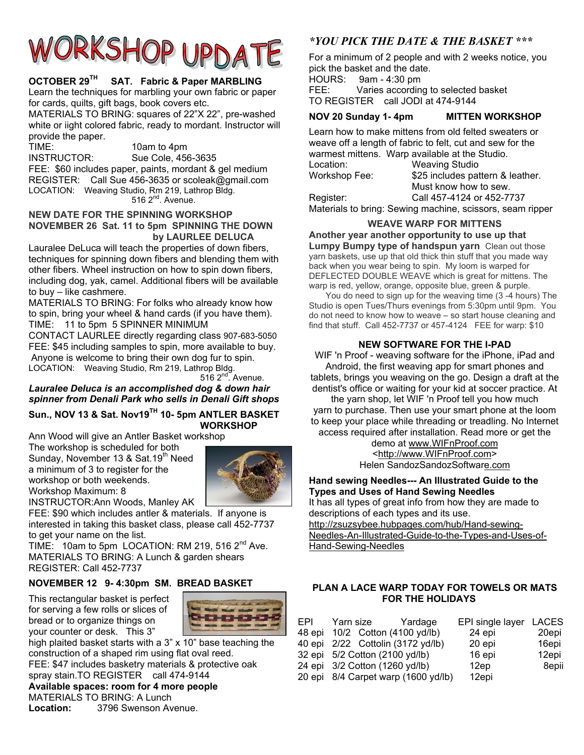# RKSHOP UPDA

## **OCTOBER 29TH SAT. Fabric & Paper MARBLING**

Learn the techniques for marbling your own fabric or paper for cards, quilts, gift bags, book covers etc.

MATERIALS TO BRING: squares of 22"X 22", pre-washed white or iight colored fabric, ready to mordant. Instructor will provide the paper.

TIME: 10am to 4pm INSTRUCTOR: Sue Cole, 456-3635 FEE: \$60 includes paper, paints, mordant & gel medium REGISTER: Call Sue 456-3635 or scoleak@gmail.com LOCATION: Weaving Studio, Rm 219, Lathrop Bldg.  $516$   $2^{nd}$ . Avenue.

#### **NEW DATE FOR THE SPINNING WORKSHOP NOVEMBER 26 Sat. 11 to 5pm SPINNING THE DOWN by LAURLEE DELUCA**

Lauralee DeLuca will teach the properties of down fibers, techniques for spinning down fibers and blending them with other fibers. Wheel instruction on how to spin down fibers, including dog, yak, camel. Additional fibers will be available to buy – like cashmere.

MATERIALS TO BRING: For folks who already know how to spin, bring your wheel & hand cards (if you have them). TIME: 11 to 5pm 5 SPINNER MINIMUM

CONTACT LAURLEE directly regarding class 907-683-5050 FEE: \$45 including samples to spin, more available to buy. Anyone is welcome to bring their own dog fur to spin. LOCATION: Weaving Studio, Rm 219, Lathrop Bldg.

 $5162^{nd}$ . Avenue.

*Lauralee Deluca is an accomplished dog & down hair spinner from Denali Park who sells in Denali Gift shops* 

#### **Sun., NOV 13 & Sat. Nov19TH 10- 5pm ANTLER BASKET WORKSHOP**

Ann Wood will give an Antler Basket workshop

The workshop is scheduled for both Sunday, November 13 & Sat. 19<sup>th</sup> Need a minimum of 3 to register for the workshop or both weekends. Workshop Maximum: 8



INSTRUCTOR:Ann Woods, Manley AK FEE: \$90 which includes antler & materials. If anyone is interested in taking this basket class, please call 452-7737 to get your name on the list.

TIME:  $10$ am to 5pm LOCATION: RM 219, 516 2<sup>nd</sup> Ave. MATERIALS TO BRING: A Lunch & garden shears REGISTER: Call 452-7737

# **NOVEMBER 12 9- 4:30pm SM. BREAD BASKET**

This rectangular basket is perfect for serving a few rolls or slices of bread or to organize things on your counter or desk. This 3"



high plaited basket starts with a 3" x 10" base teaching the construction of a shaped rim using flat oval reed. FEE: \$47 includes basketry materials & protective oak spray stain.TO REGISTER call 474-9144 **Available spaces: room for 4 more people** 

MATERIALS TO BRING: A Lunch **Location:** 3796 Swenson Avenue.

# *\*YOU PICK THE DATE & THE BASKET \*\*\**

For a minimum of 2 people and with 2 weeks notice, you pick the basket and the date.

HOURS: 9am - 4:30 pm

FEE: Varies according to selected basket TO REGISTER call JODI at 474-9144

## **NOV 20 Sunday 1- 4pm MITTEN WORKSHOP**

|               | Learn how to make mittens from old felted sweaters or<br>weave off a length of fabric to felt, cut and sew for the |
|---------------|--------------------------------------------------------------------------------------------------------------------|
|               | warmest mittens. Warp available at the Studio.                                                                     |
| Location:     | <b>Weaving Studio</b>                                                                                              |
| Workshop Fee: | \$25 includes pattern & leather.                                                                                   |
|               | Must know how to sew.                                                                                              |
| Register:     | Call 457-4124 or 452-7737                                                                                          |
|               | Materials to bring: Sewing machine, scissors, seam ripper                                                          |

# **WEAVE WARP FOR MITTENS**

**Another year another opportunity to use up that Lumpy Bumpy type of handspun yarn** Clean out those

yarn baskets, use up that old thick thin stuff that you made way back when you wear being to spin. My loom is warped for DEFLECTED DOUBLE WEAVE which is great for mittens. The warp is red, yellow, orange, opposite blue, green & purple.

 You do need to sign up for the weaving time (3 -4 hours) The Studio is open Tues/Thurs evenings from 5:30pm until 9pm. You do not need to know how to weave – so start house cleaning and find that stuff. Call 452-7737 or 457-4124 FEE for warp: \$10

## **NEW SOFTWARE FOR THE I-PAD**

WIF 'n Proof - weaving software for the iPhone, iPad and Android, the first weaving app for smart phones and tablets, brings you weaving on the go. Design a draft at the dentist's office or waiting for your kid at soccer practice. At

the yarn shop, let WIF 'n Proof tell you how much yarn to purchase. Then use your smart phone at the loom to keep your place while threading or treadling. No Internet access required after installation. Read more or get the

demo at www.WIFnProof.com <http://www.WIFnProof.com> Helen SandozSandozSoftware.com

**Hand sewing Needles--- An Illustrated Guide to the Types and Uses of Hand Sewing Needles**  It has all types of great info from how they are made to descriptions of each types and its use. http://zsuzsybee.hubpages.com/hub/Hand-sewing-Needles-An-Illustrated-Guide-to-the-Types-and-Uses-of-Hand-Sewing-Needles

#### **PLAN A LACE WARP TODAY FOR TOWELS OR MATS FOR THE HOLIDAYS**

| EPI | Yarn size<br>48 epi 10/2 Cotton (4100 yd/lb)<br>40 epi 2/22 Cottolin (3172 yd/lb)<br>32 epi 5/2 Cotton (2100 yd/lb)<br>24 epi 3/2 Cotton (1260 yd/lb)<br>20 epi 8/4 Carpet warp (1600 yd/lb) | Yardage | EPI single layer<br>24 epi<br>20 epi<br>16 epi<br>12ep<br>12epi | LACES<br>20epi<br>16epi<br>12epi<br>8epii |
|-----|----------------------------------------------------------------------------------------------------------------------------------------------------------------------------------------------|---------|-----------------------------------------------------------------|-------------------------------------------|
|     |                                                                                                                                                                                              |         |                                                                 |                                           |